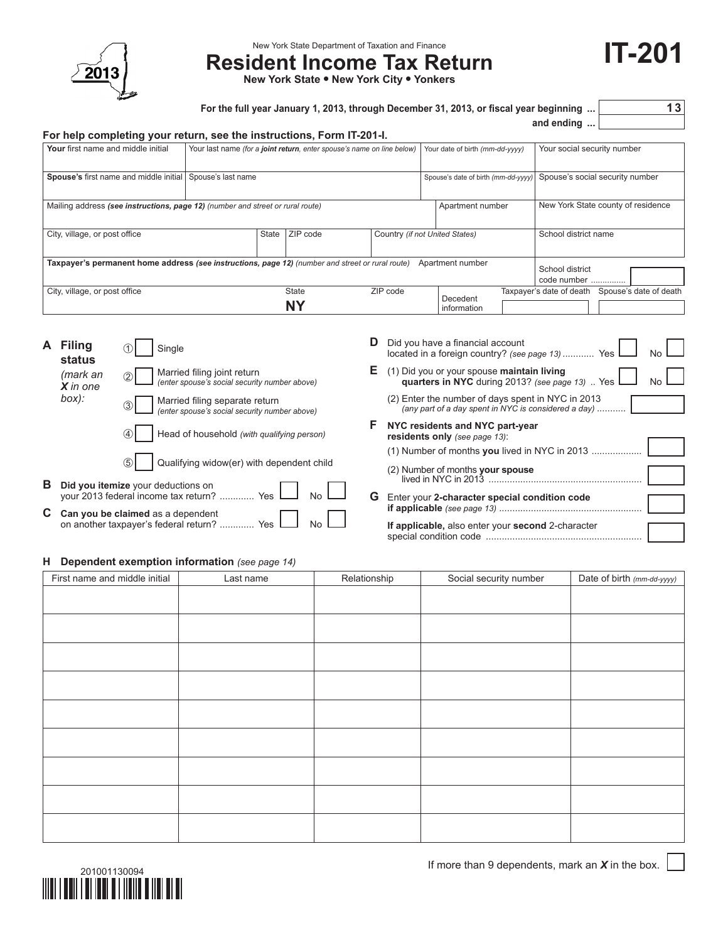

New York State Department of Taxation and Finance

# **Resident Income Tax Return**

**New York State • New York City • Yonkers**

| For the full year January 1, 2013, through December 31, 2013, or fiscal year beginning | 13 |
|----------------------------------------------------------------------------------------|----|
|----------------------------------------------------------------------------------------|----|

**and ending ...**

**IT-201**

| For help completing your return, see the instructions, Form IT-201-I.                            |                                                                        |                                                            |  |          |                                     |                         |  |                                    |  |                        |
|--------------------------------------------------------------------------------------------------|------------------------------------------------------------------------|------------------------------------------------------------|--|----------|-------------------------------------|-------------------------|--|------------------------------------|--|------------------------|
| Your first name and middle initial                                                               | Your last name (for a joint return, enter spouse's name on line below) |                                                            |  |          | Your date of birth (mm-dd-yyyy)     |                         |  | Your social security number        |  |                        |
| Spouse's first name and middle initial Spouse's last name                                        |                                                                        |                                                            |  |          | Spouse's date of birth (mm-dd-yyyy) |                         |  | Spouse's social security number    |  |                        |
| Mailing address (see instructions, page 12) (number and street or rural route)                   |                                                                        |                                                            |  |          |                                     | Apartment number        |  | New York State county of residence |  |                        |
| City, village, or post office                                                                    |                                                                        | ZIP code<br><b>State</b><br>Country (if not United States) |  |          |                                     | School district name    |  |                                    |  |                        |
| Taxpayer's permanent home address (see instructions, page 12) (number and street or rural route) |                                                                        |                                                            |  |          |                                     | Apartment number        |  |                                    |  |                        |
|                                                                                                  |                                                                        |                                                            |  |          |                                     |                         |  | School district<br>code number     |  |                        |
| City, village, or post office                                                                    |                                                                        | State<br><b>NY</b>                                         |  | ZIP code |                                     |                         |  | Taxpayer's date of death           |  | Spouse's date of death |
|                                                                                                  |                                                                        |                                                            |  |          |                                     | Decedent<br>information |  |                                    |  |                        |

| A Filing<br>status                                                                |                        | Single                                                                                 | D  | Did you have a financial account<br>located in a foreign country? (see page 13)  Yes<br>No.                |
|-----------------------------------------------------------------------------------|------------------------|----------------------------------------------------------------------------------------|----|------------------------------------------------------------------------------------------------------------|
|                                                                                   | (mark an<br>$X$ in one | Married filing joint return<br>(enter spouse's social security number above)<br>(2)    | Е. | (1) Did you or your spouse maintain living<br>quarters in NYC during 2013? (see page 13). Yes<br><b>No</b> |
|                                                                                   | box):                  | Married filing separate return<br>(enter spouse's social security number above)<br>(3) |    | (2) Enter the number of days spent in NYC in 2013<br>(any part of a day spent in NYC is considered a day)  |
|                                                                                   |                        | Head of household (with qualifying person)<br>(4)                                      |    | NYC residents and NYC part-year<br>residents only (see page 13):                                           |
|                                                                                   |                        | Qualifying widow(er) with dependent child<br>(5)                                       |    | $(1)$ Number of months you lived in NYC in 2013<br>(2) Number of months your spouse                        |
| в                                                                                 |                        | Did you itemize your deductions on<br>your 2013 federal income tax return?  Yes<br>G   |    | Enter your 2-character special condition code                                                              |
| C Can you be claimed as a dependent<br>on another taxpayer's federal return?  Yes |                        |                                                                                        |    | If applicable, also enter your second 2-character                                                          |

#### **H Dependent exemption information** *(see page 14)*

| First name and middle initial | Last name | Relationship | Social security number | Date of birth (mm-dd-yyyy) |
|-------------------------------|-----------|--------------|------------------------|----------------------------|
|                               |           |              |                        |                            |
|                               |           |              |                        |                            |
|                               |           |              |                        |                            |
|                               |           |              |                        |                            |
|                               |           |              |                        |                            |
|                               |           |              |                        |                            |
|                               |           |              |                        |                            |
|                               |           |              |                        |                            |
|                               |           |              |                        |                            |
|                               |           |              |                        |                            |
|                               |           |              |                        |                            |
|                               |           |              |                        |                            |
|                               |           |              |                        |                            |
|                               |           |              |                        |                            |
|                               |           |              |                        |                            |
|                               |           |              |                        |                            |
|                               |           |              |                        |                            |
|                               |           |              |                        |                            |

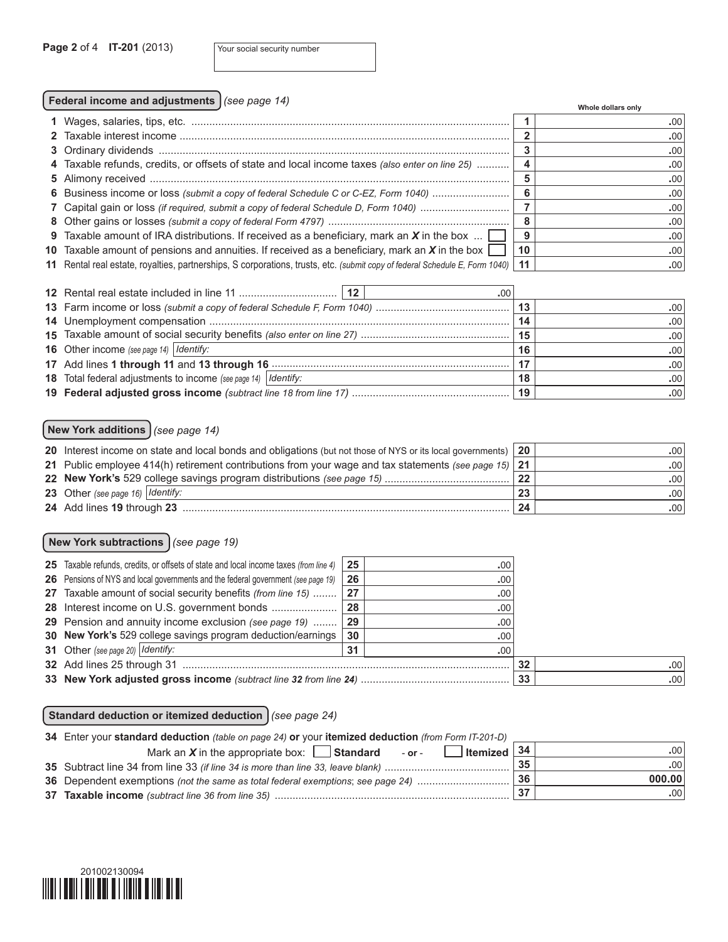### **Federal income and adjustments** *(see page 14)* **Whole dollars only**

|                                                                                                                             |      | whole dollars only |
|-----------------------------------------------------------------------------------------------------------------------------|------|--------------------|
|                                                                                                                             |      | .00 <sub>1</sub>   |
|                                                                                                                             |      | .00                |
|                                                                                                                             |      | .00                |
| 4 Taxable refunds, credits, or offsets of state and local income taxes (also enter on line 25)                              |      | .00                |
|                                                                                                                             |      | .00                |
| 6 Business income or loss (submit a copy of federal Schedule C or C-EZ, Form 1040)                                          |      | .00                |
| 7 Capital gain or loss (if required, submit a copy of federal Schedule D, Form 1040)                                        |      | .00                |
|                                                                                                                             | 8    | .00                |
| 9 Taxable amount of IRA distributions. If received as a beneficiary, mark an $X$ in the box $\dots$                         | 9    | .00                |
| 10 Taxable amount of pensions and annuities. If received as a beneficiary, mark an $X$ in the box                           | 10   | .00                |
| 11 Rental real estate, royalties, partnerships, S corporations, trusts, etc. (submit copy of federal Schedule E, Form 1040) | ∣ 11 | .00                |

| .00                                                                     |    |                  |
|-------------------------------------------------------------------------|----|------------------|
|                                                                         | 13 | .00              |
|                                                                         | 14 | .00              |
|                                                                         | 15 | .00 <sup>1</sup> |
| <b>16</b> Other income (see page 14)   Identify:                        | 16 | .00              |
|                                                                         | 17 | $.00^{\circ}$    |
| <b>18</b> Total federal adjustments to income (see page 14)   Identify: | 18 | .00'             |
|                                                                         |    | .00 <sub>1</sub> |

## **New York additions** *(see page 14)*

| 20 Interest income on state and local bonds and obligations (but not those of NYS or its local governments) | 20 | .001             |
|-------------------------------------------------------------------------------------------------------------|----|------------------|
| 21 Public employee 414(h) retirement contributions from your wage and tax statements (see page 15) 21       |    | .00              |
|                                                                                                             | 22 | .00              |
| 23 Other (see page 16) $\vert$ Identify:                                                                    | 23 | .00 <sub>1</sub> |
| 24 Add lines 19 through 23                                                                                  | 24 | .00              |

#### **New York subtractions** *(see page 19)*

| 25 Taxable refunds, credits, or offsets of state and local income taxes (from line 4)    | 25   | .00. |    |                  |
|------------------------------------------------------------------------------------------|------|------|----|------------------|
| <b>26</b> Pensions of NYS and local governments and the federal government (see page 19) | 26   | .00. |    |                  |
| 27 Taxable amount of social security benefits (from line 15)    27                       |      | .00  |    |                  |
|                                                                                          | 28   | .00  |    |                  |
| 29 Pension and annuity income exclusion (see page 19)                                    | . 29 | .00. |    |                  |
| 30 New York's 529 college savings program deduction/earnings                             | 30   | .00. |    |                  |
| 31 Other (see page 20) $\vert$ <i>Identify:</i>                                          | 31   | .00. |    |                  |
| 32 Add lines 25 through 31                                                               |      |      | 32 | .001             |
|                                                                                          |      |      | 33 | .00 <sub>1</sub> |

#### **Standard deduction or itemized deduction** *(see page 24)*

| 34 Enter your standard deduction (table on page 24) or your itemized deduction (from Form IT-201-D) |    |        |  |  |  |
|-----------------------------------------------------------------------------------------------------|----|--------|--|--|--|
| $\sqrt{\frac{34}{15}}$<br>Mark an $X$ in the appropriate box: <b>Standard</b> - or -                |    | -00    |  |  |  |
| 35 Subtract line 34 from line 33 (if line 34 is more than line 33, leave blank)                     | 35 | .00    |  |  |  |
| 36 Dependent exemptions (not the same as total federal exemptions; see page 24)                     | 36 | 000.00 |  |  |  |
| 37 Taxable income (subtract line 36 from line 35)                                                   |    | .001   |  |  |  |

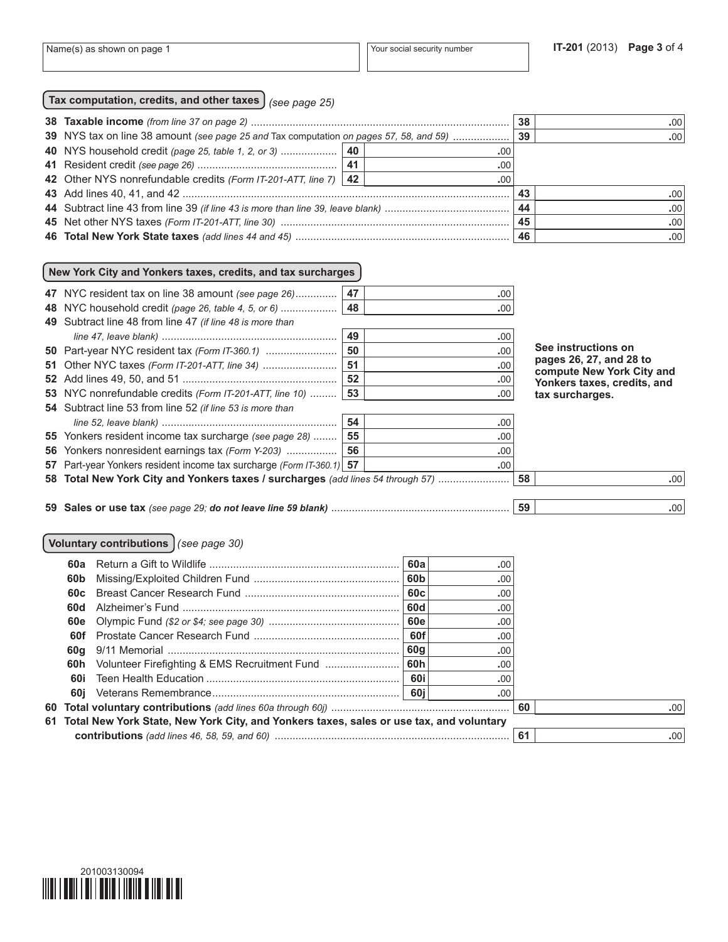| Tax computation, credits, and other taxes $\int$ (see page 25) |  |
|----------------------------------------------------------------|--|
|----------------------------------------------------------------|--|

|                                                                                        |      | 38 | .00              |
|----------------------------------------------------------------------------------------|------|----|------------------|
| 39 NYS tax on line 38 amount (see page 25 and Tax computation on pages 57, 58, and 59) |      | 39 | .00              |
|                                                                                        | .00  |    |                  |
|                                                                                        | .00  |    |                  |
| 42 Other NYS nonrefundable credits (Form IT-201-ATT, line 7)   42                      | .00. |    |                  |
|                                                                                        |      | 43 | .00 <sub>1</sub> |
|                                                                                        |      | 44 | .00 <sub>1</sub> |
|                                                                                        |      | 45 | .00 <sub>1</sub> |
|                                                                                        |      |    | .001             |

#### **New York City and Yonkers taxes, credits, and tax surcharges**

| 47 NYC resident tax on line 38 amount (see page 26)                             | 47 | .00 |    |                                                      |
|---------------------------------------------------------------------------------|----|-----|----|------------------------------------------------------|
| 48 NYC household credit (page 26, table 4, 5, or 6)                             | 48 | .00 |    |                                                      |
| 49 Subtract line 48 from line 47 (if line 48 is more than                       |    |     |    |                                                      |
|                                                                                 | 49 | .00 |    |                                                      |
| <b>50</b> Part-year NYC resident tax (Form IT-360.1)                            | 50 | .00 |    | See instructions on                                  |
| 51 Other NYC taxes (Form IT-201-ATT, line 34)                                   | 51 | .00 |    | pages 26, 27, and 28 to<br>compute New York City and |
|                                                                                 | 52 | .00 |    | Yonkers taxes, credits, and                          |
| 53 NYC nonrefundable credits (Form IT-201-ATT, line 10)                         | 53 | .00 |    | tax surcharges.                                      |
| 54 Subtract line 53 from line 52 (if line 53 is more than                       |    |     |    |                                                      |
|                                                                                 | 54 | .00 |    |                                                      |
| 55 Yonkers resident income tax surcharge (see page 28)                          | 55 | .00 |    |                                                      |
| 56 Yonkers nonresident earnings tax (Form Y-203)                                | 56 | .00 |    |                                                      |
| 57 Part-year Yonkers resident income tax surcharge (Form IT-360.1) 57           |    | .00 |    |                                                      |
| 58 Total New York City and Yonkers taxes / surcharges (add lines 54 through 57) |    |     | 58 | .00                                                  |
|                                                                                 |    |     |    |                                                      |
|                                                                                 |    |     | 59 | .00                                                  |
|                                                                                 |    |     |    |                                                      |

#### **Voluntary contributions** *(see page 30)*

|                                                                                            |  | 60a | .00              |  |  |  |  |  |
|--------------------------------------------------------------------------------------------|--|-----|------------------|--|--|--|--|--|
| 60b                                                                                        |  |     | .00              |  |  |  |  |  |
| 60c                                                                                        |  |     | .00              |  |  |  |  |  |
| 60d                                                                                        |  | 60d | .00.             |  |  |  |  |  |
|                                                                                            |  |     | .00.             |  |  |  |  |  |
| 60f                                                                                        |  | 60f | .00              |  |  |  |  |  |
|                                                                                            |  | 60g | .00              |  |  |  |  |  |
| 60h                                                                                        |  |     | .00              |  |  |  |  |  |
| 60i                                                                                        |  | 60i | .00              |  |  |  |  |  |
|                                                                                            |  |     | .00.             |  |  |  |  |  |
|                                                                                            |  |     | .00 <sub>1</sub> |  |  |  |  |  |
| 61 Total New York State, New York City, and Yonkers taxes, sales or use tax, and voluntary |  |     |                  |  |  |  |  |  |
|                                                                                            |  |     | .001             |  |  |  |  |  |